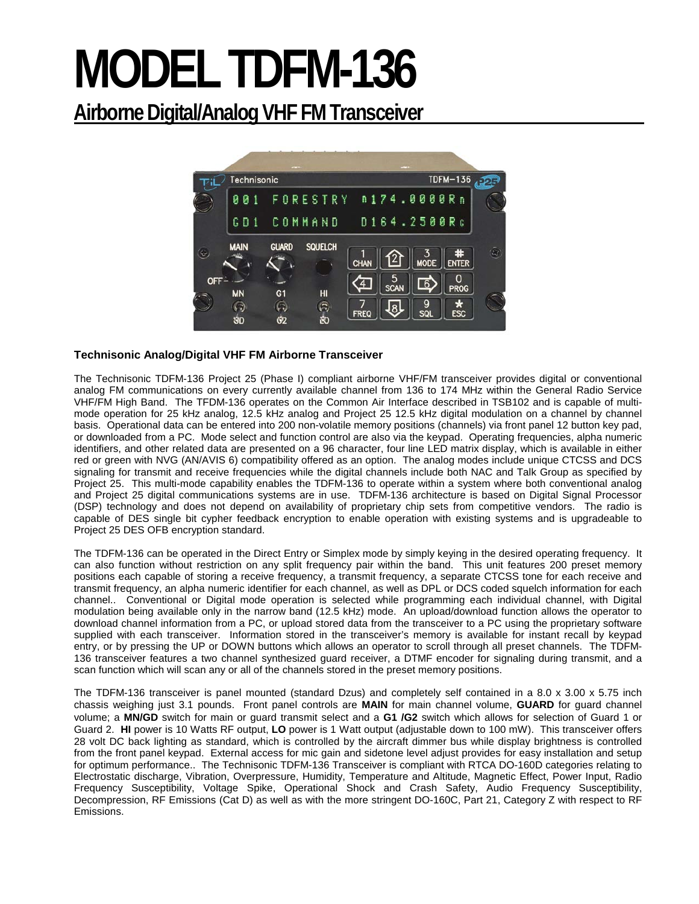# **MODEL TDFM-136**

# **Airborne Digital/Analog VHF FM Transceiver**



## **Technisonic Analog/Digital VHF FM Airborne Transceiver**

The Technisonic TDFM-136 Project 25 (Phase I) compliant airborne VHF/FM transceiver provides digital or conventional analog FM communications on every currently available channel from 136 to 174 MHz within the General Radio Service VHF/FM High Band. The TFDM-136 operates on the Common Air Interface described in TSB102 and is capable of multimode operation for 25 kHz analog, 12.5 kHz analog and Project 25 12.5 kHz digital modulation on a channel by channel basis. Operational data can be entered into 200 non-volatile memory positions (channels) via front panel 12 button key pad, or downloaded from a PC. Mode select and function control are also via the keypad. Operating frequencies, alpha numeric identifiers, and other related data are presented on a 96 character, four line LED matrix display, which is available in either red or green with NVG (AN/AVIS 6) compatibility offered as an option. The analog modes include unique CTCSS and DCS signaling for transmit and receive frequencies while the digital channels include both NAC and Talk Group as specified by Project 25. This multi-mode capability enables the TDFM-136 to operate within a system where both conventional analog and Project 25 digital communications systems are in use. TDFM-136 architecture is based on Digital Signal Processor (DSP) technology and does not depend on availability of proprietary chip sets from competitive vendors. The radio is capable of DES single bit cypher feedback encryption to enable operation with existing systems and is upgradeable to Project 25 DES OFB encryption standard.

The TDFM-136 can be operated in the Direct Entry or Simplex mode by simply keying in the desired operating frequency. It can also function without restriction on any split frequency pair within the band. This unit features 200 preset memory positions each capable of storing a receive frequency, a transmit frequency, a separate CTCSS tone for each receive and transmit frequency, an alpha numeric identifier for each channel, as well as DPL or DCS coded squelch information for each channel.. Conventional or Digital mode operation is selected while programming each individual channel, with Digital modulation being available only in the narrow band (12.5 kHz) mode. An upload/download function allows the operator to download channel information from a PC, or upload stored data from the transceiver to a PC using the proprietary software supplied with each transceiver. Information stored in the transceiver's memory is available for instant recall by keypad entry, or by pressing the UP or DOWN buttons which allows an operator to scroll through all preset channels. The TDFM-136 transceiver features a two channel synthesized guard receiver, a DTMF encoder for signaling during transmit, and a scan function which will scan any or all of the channels stored in the preset memory positions.

The TDFM-136 transceiver is panel mounted (standard Dzus) and completely self contained in a 8.0 x 3.00 x 5.75 inch chassis weighing just 3.1 pounds. Front panel controls are **MAIN** for main channel volume, **GUARD** for guard channel volume; a **MN/GD** switch for main or guard transmit select and a **G1 /G2** switch which allows for selection of Guard 1 or Guard 2. **HI** power is 10 Watts RF output, **LO** power is 1 Watt output (adjustable down to 100 mW). This transceiver offers 28 volt DC back lighting as standard, which is controlled by the aircraft dimmer bus while display brightness is controlled from the front panel keypad. External access for mic gain and sidetone level adjust provides for easy installation and setup for optimum performance.. The Technisonic TDFM-136 Transceiver is compliant with RTCA DO-160D categories relating to Electrostatic discharge, Vibration, Overpressure, Humidity, Temperature and Altitude, Magnetic Effect, Power Input, Radio Frequency Susceptibility, Voltage Spike, Operational Shock and Crash Safety, Audio Frequency Susceptibility, Decompression, RF Emissions (Cat D) as well as with the more stringent DO-160C, Part 21, Category Z with respect to RF Emissions.